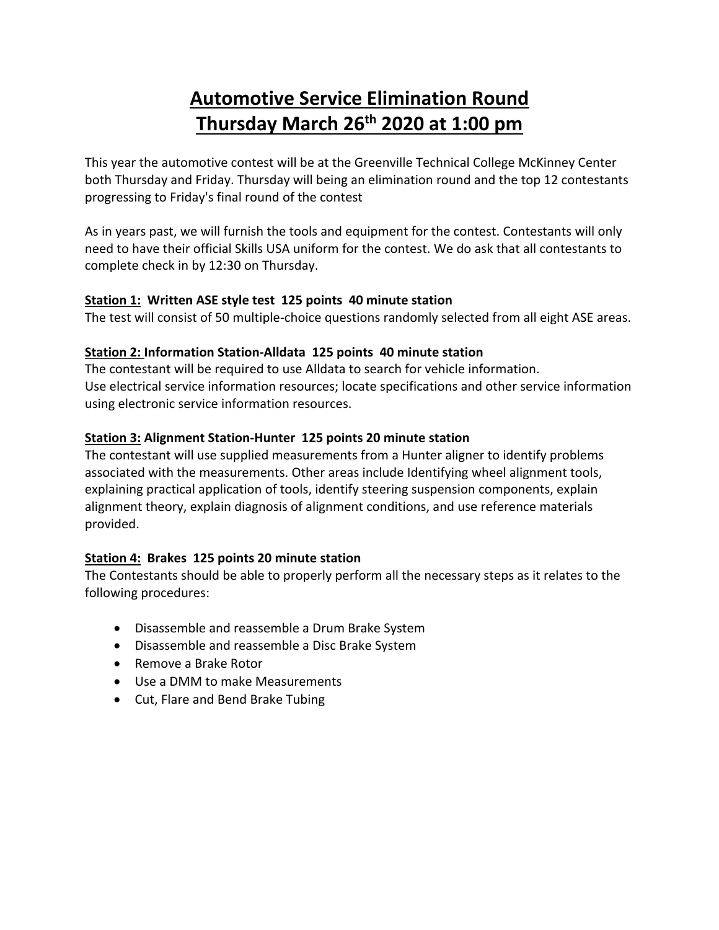# **Automotive Service Elimination Round Thursday March 26th 2020 at 1:00 pm**

This year the automotive contest will be at the Greenville Technical College McKinney Center both Thursday and Friday. Thursday will being an elimination round and the top 12 contestants progressing to Friday's final round of the contest

As in years past, we will furnish the tools and equipment for the contest. Contestants will only need to have their official Skills USA uniform for the contest. We do ask that all contestants to complete check in by 12:30 on Thursday.

### **Station 1: Written ASE style test 125 points 40 minute station**

The test will consist of 50 multiple-choice questions randomly selected from all eight ASE areas.

### **Station 2: Information Station-Alldata 125 points 40 minute station**

The contestant will be required to use Alldata to search for vehicle information. Use electrical service information resources; locate specifications and other service information using electronic service information resources.

### **Station 3: Alignment Station-Hunter 125 points 20 minute station**

The contestant will use supplied measurements from a Hunter aligner to identify problems associated with the measurements. Other areas include Identifying wheel alignment tools, explaining practical application of tools, identify steering suspension components, explain alignment theory, explain diagnosis of alignment conditions, and use reference materials provided.

## **Station 4: Brakes 125 points 20 minute station**

The Contestants should be able to properly perform all the necessary steps as it relates to the following procedures:

- Disassemble and reassemble a Drum Brake System
- Disassemble and reassemble a Disc Brake System
- Remove a Brake Rotor
- Use a DMM to make Measurements
- Cut, Flare and Bend Brake Tubing